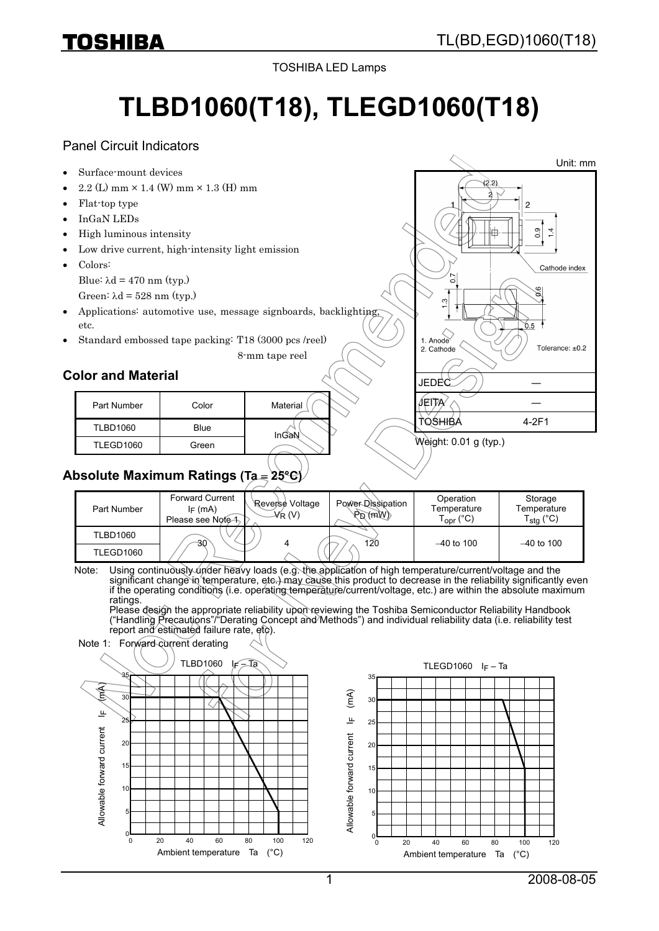# TL(BD,EGD)1060(T18)

Unit: mm

TOSHIBA LED Lamps

# **TLBD1060(T18), TLEGD1060(T18)**

#### Panel Circuit Indicators

Surface-mount devices

TOSHIBA

- 2.2 (L) mm × 1.4 (W) mm × 1.3 (H) mm
- Flat-top type
- InGaN LEDs
- High luminous intensity
- Low drive current, high-intensity light emission
- Colors: Blue:  $\lambda$ d = 470 nm (typ.) Green:  $λd = 528$  nm (typ.)
- Applications: automotive use, message signboards, backlighting, etc.
- Standard embossed tape packing: T18 (3000 pcs /reel)

8-mm tape reel

### **Color and Material**

| Part Number     | Color | Material |
|-----------------|-------|----------|
| <b>TLBD1060</b> | Blue  | InGaN    |
| TLEGD1060       | Green |          |



| Part Number      | <b>Forward Current</b><br>$I_F$ (mA)<br>Please see Note 1 | Reverse Voltage<br>$\mathcal{N}_\mathsf{R}$ (V) | Power-Dissipation<br>$\langle Wm \rangle_{\rm G}$ | Operation<br>Temperature<br>Г <sub>орг</sub> (°C) | Storage<br>Temperature<br>$\epsilon_{\text{stg}}$ (°C) |
|------------------|-----------------------------------------------------------|-------------------------------------------------|---------------------------------------------------|---------------------------------------------------|--------------------------------------------------------|
| TLBD1060         | -30                                                       |                                                 | 120                                               | $-40$ to 100                                      | $-40$ to 100                                           |
| <b>TLEGD1060</b> |                                                           |                                                 |                                                   |                                                   |                                                        |

Note: Using continuously under heavy loads (e.g. the application of high temperature/current/voltage and the significant change in temperature, etc.) may cause this product to decrease in the reliability significantly even if the operating conditions (i.e. operating temperature/current/voltage, etc.) are within the absolute maximum ratings.

Please design the appropriate reliability upon reviewing the Toshiba Semiconductor Reliability Handbook ("Handling Precautions"/"Derating Concept and Methods") and individual reliability data (i.e. reliability test report and estimated failure rate, etc).

Note 1: Forward current derating





JEDEC ― JEITA⁄

 $1.$  Anode

2 Cathode

TOSHIBA 4-2F1

 $(2.2)$ ò

o

6.5

 $0.9$  $\overline{4}$ 

Cathode index

Tolerance: +0.2

Weight: 0.01 g (typ.)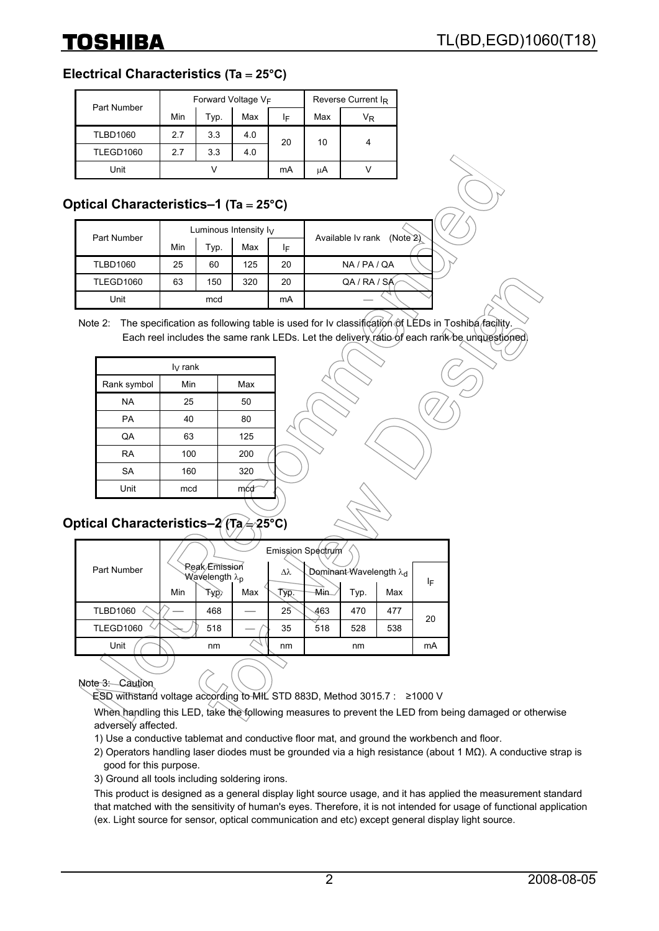#### **Electrical Characteristics (Ta** = **25°C)**

| Part Number     |     | Forward Voltage VF | Reverse Current I <sub>R</sub> |     |     |    |
|-----------------|-----|--------------------|--------------------------------|-----|-----|----|
|                 | Min | Typ.               | Max                            | IF. | Max | VŖ |
| <b>TLBD1060</b> | 2.7 | 3.3                | 4.0                            | 20  | 10  |    |
| TLEGD1060       | 2.7 | 3.3                | 4.0                            |     |     |    |
| Unit            |     |                    |                                | mA  | uΑ  |    |

# **Optical Characteristics–1 (Ta** = **25°C)**

| Part Number     |     |      | Luminous Intensity $I_V$ | Available Iv rank<br>(Note2) |              |
|-----------------|-----|------|--------------------------|------------------------------|--------------|
|                 | Min | Typ. | Max                      | ΙF                           |              |
| <b>TLBD1060</b> | 25  | 60   | 125                      | 20                           | NA / PA / QA |
| TLEGD1060       | 63  | 150  | 320                      | 20                           | QA / RA / SA |
| Unit            |     | mcd  |                          | mA                           |              |

Note 2: The specification as following table is used for Iv classification of LEDs in Toshiba facility. Each reel includes the same rank LEDs. Let the delivery ratio of each rank be unquestioned.

| $I_V$ rank  |     |     |  |  |  |  |
|-------------|-----|-----|--|--|--|--|
| Rank symbol | Min | Max |  |  |  |  |
| <b>NA</b>   | 25  | 50  |  |  |  |  |
| PA          | 40  | 80  |  |  |  |  |
| QA          | 63  | 125 |  |  |  |  |
| <b>RA</b>   | 100 | 200 |  |  |  |  |
| <b>SA</b>   | 160 | 320 |  |  |  |  |
| Unit        | mcd | mćd |  |  |  |  |
|             |     |     |  |  |  |  |

# **Optical Characteristics–2 (Ta**  $\neq$  **25°C)**

|                  |     |                                            |     |      | Emission Spectrum |                                    |     |    |
|------------------|-----|--------------------------------------------|-----|------|-------------------|------------------------------------|-----|----|
| Part Number      |     | Reak Emission<br>Wavelength λ <sub>p</sub> |     | Δλ   |                   | Dominant-Wavelength λ <sub>d</sub> |     | ΙF |
|                  | Min | Typ)                                       | Max | Typ. | Min.              | Tур.                               | Max |    |
| <b>TLBD1060</b>  |     | 468                                        |     | 25   | 463               | 470                                | 477 | 20 |
| <b>TLEGD1060</b> |     | 518                                        |     | 35   | 518               | 528                                | 538 |    |
| Unit             |     | nm                                         |     | nm   |                   | nm                                 |     | mA |
|                  |     |                                            |     |      |                   |                                    |     |    |

Note 3: Caution

ESD withstand voltage according to MIL STD 883D, Method 3015.7 : ≥1000 V

When handling this LED, take the following measures to prevent the LED from being damaged or otherwise adversely affected.

- 1) Use a conductive tablemat and conductive floor mat, and ground the workbench and floor.
- 2) Operators handling laser diodes must be grounded via a high resistance (about 1 MΩ). A conductive strap is good for this purpose.

3) Ground all tools including soldering irons.

This product is designed as a general display light source usage, and it has applied the measurement standard that matched with the sensitivity of human's eyes. Therefore, it is not intended for usage of functional application (ex. Light source for sensor, optical communication and etc) except general display light source.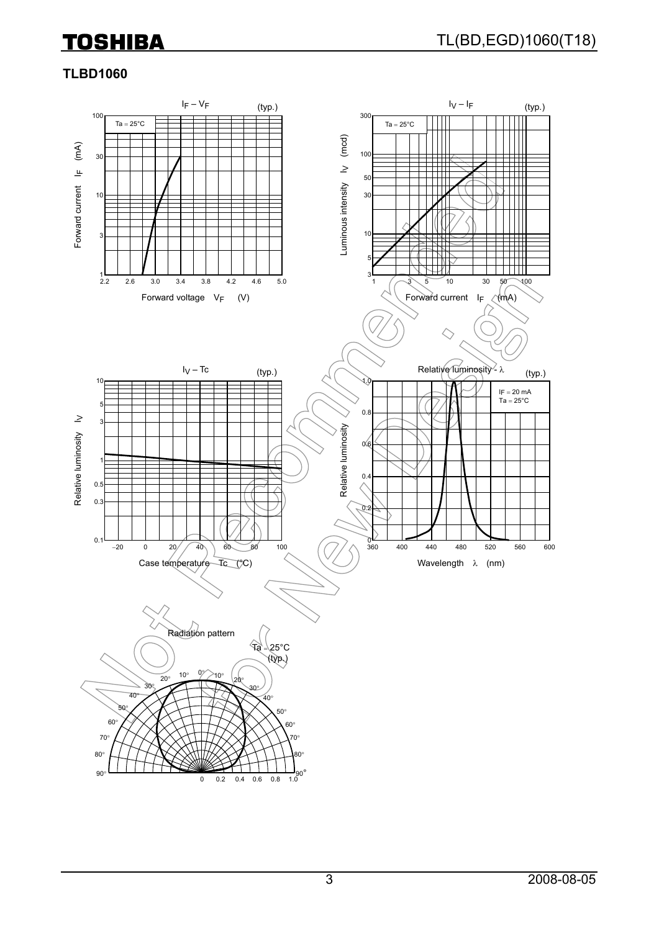### **TLBD1060**

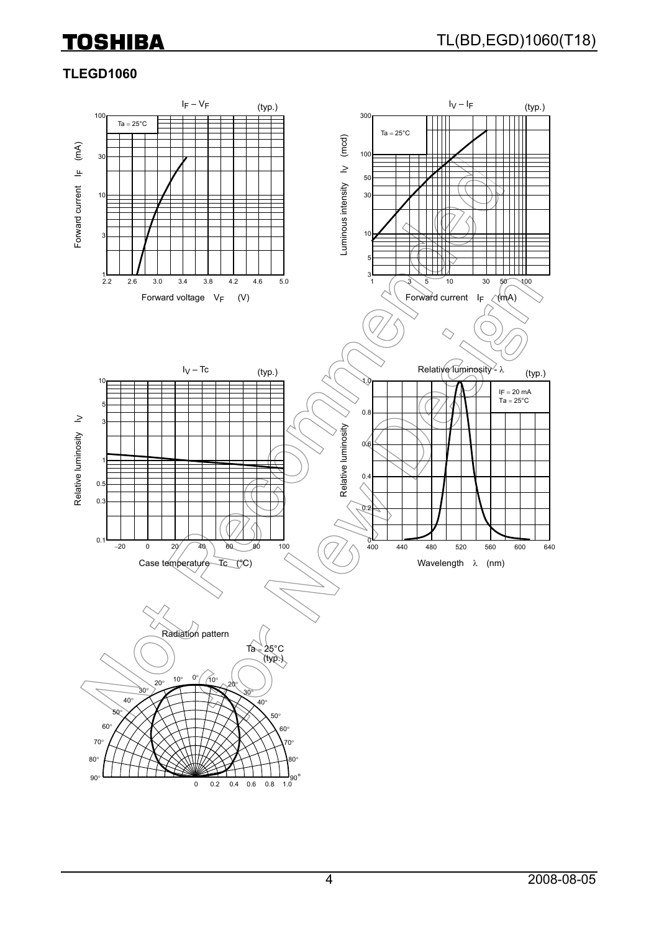# **TLEGD1060**

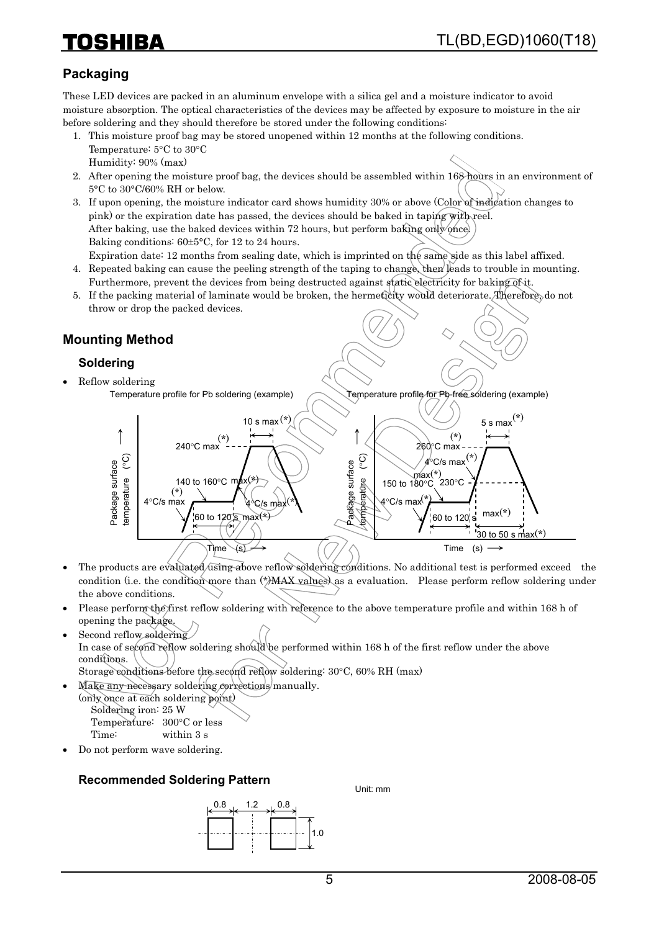# **Packaging**

These LED devices are packed in an aluminum envelope with a silica gel and a moisture indicator to avoid moisture absorption. The optical characteristics of the devices may be affected by exposure to moisture in the air before soldering and they should therefore be stored under the following conditions:

- 1. This moisture proof bag may be stored unopened within 12 months at the following conditions. Temperature: 5°C to 30°C Humidity: 90% (max)
- 2. After opening the moisture proof bag, the devices should be assembled within 168 hours in an environment of 5°C to 30°C/60% RH or below.
- 3. If upon opening, the moisture indicator card shows humidity 30% or above (Color of indication changes to pink) or the expiration date has passed, the devices should be baked in taping with reel. After baking, use the baked devices within 72 hours, but perform baking only once. Baking conditions: 60±5°C, for 12 to 24 hours.

Expiration date: 12 months from sealing date, which is imprinted on the same side as this label affixed. 4. Repeated baking can cause the peeling strength of the taping to change, then leads to trouble in mounting.

- Furthermore, prevent the devices from being destructed against static electricity for baking of it.
- 5. If the packing material of laminate would be broken, the hermeticity would deteriorate. Therefore, do not throw or drop the packed devices.

# **Mounting Method**

#### **Soldering**

• Reflow soldering Temperature profile for Pb soldering (example)

Temperature profile for Pb-free soldering (example)



- The products are evaluated using above reflow soldering conditions. No additional test is performed exceed the condition (i.e. the condition more than  $(*)$ MAX values) as a evaluation. Please perform reflow soldering under the above conditions.
- Please perform the first reflow soldering with reference to the above temperature profile and within 168 h of opening the package.
- Second reflow soldering In case of second reflow soldering should be performed within 168 h of the first reflow under the above conditions.
	- Storage conditions before the second reflow soldering: 30°C, 60% RH (max)
- Make any necessary soldering corrections manually. (only once at each soldering point) Soldering iron: 25 W Temperature: 300°C or less

Time: within 3 s

• Do not perform wave soldering.

#### **Recommended Soldering Pattern**



Unit: mm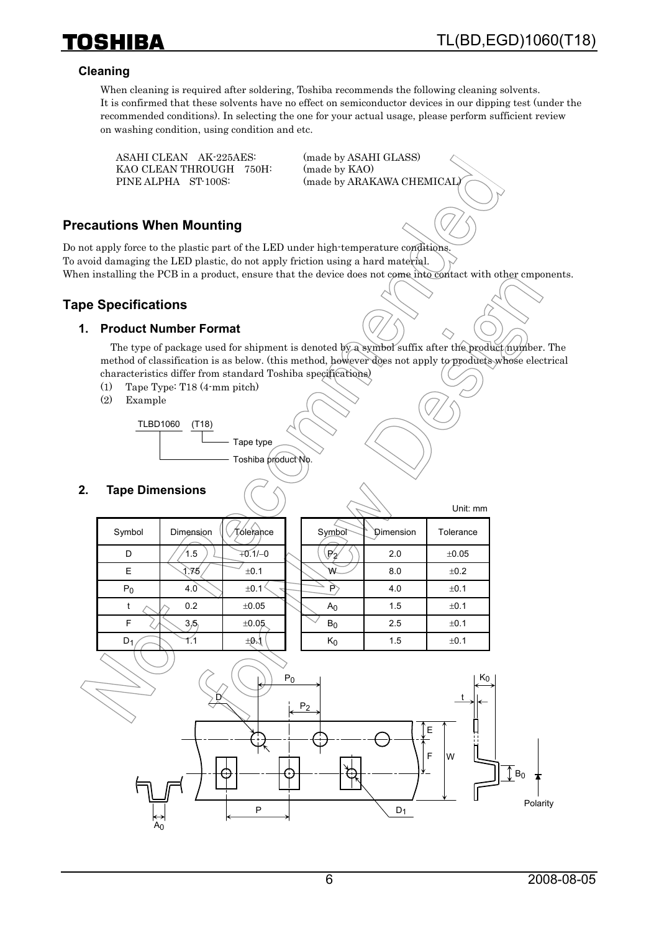Unit: mm

#### **Cleaning**

**TOSHIBA** 

When cleaning is required after soldering, Toshiba recommends the following cleaning solvents. It is confirmed that these solvents have no effect on semiconductor devices in our dipping test (under the recommended conditions). In selecting the one for your actual usage, please perform sufficient review on washing condition, using condition and etc.

 ASAHI CLEAN AK-225AES: (made by ASAHI GLASS) KAO CLEAN THROUGH 750H: (made by KAO)

PINE ALPHA ST-100S: (made by ARAKAWA CHEMICAL)

#### **Precautions When Mounting**

Do not apply force to the plastic part of the LED under high-temperature conditions. To avoid damaging the LED plastic, do not apply friction using a hard material. When installing the PCB in a product, ensure that the device does not come into contact with other cmponents.

#### **Tape Specifications**

#### **1. Product Number Format**

The type of package used for shipment is denoted by a symbol suffix after the product number. The method of classification is as below. (this method, however does not apply to products whose electrical characteristics differ from standard Toshiba specifications)

- (1) Tape Type: T18 (4-mm pitch)
- (2) Example

TLBD1060 (T18) Tape type Toshiba product No.

#### **2. Tape Dimensions**

|        |           |           |                  | →         | UIIII. IIIIII |
|--------|-----------|-----------|------------------|-----------|---------------|
| Symbol | Dimension | Tóleiance | Symbol           | Dimension | Tolerance     |
| D      | 1.5       | $+0.1/-0$ | $\mathbb{P}_{2}$ | 2.0       | $\pm 0.05$    |
| E      | 1.75      | ±0.1      | W                | 8.0       | ±0.2          |
| $P_0$  | 4.0       | ±0.1      | P                | 4.0       | ±0.1          |
|        | 0.2       | ±0.05     | A <sub>0</sub>   | 1.5       | ±0.1          |
| F      | 3/5       | ±0.05     | $B_0$            | 2.5       | ±0.1          |
| $D_1$  |           | ±Ø√l      | $K_0$            | 1.5       | ±0.1          |
|        |           |           |                  |           |               |

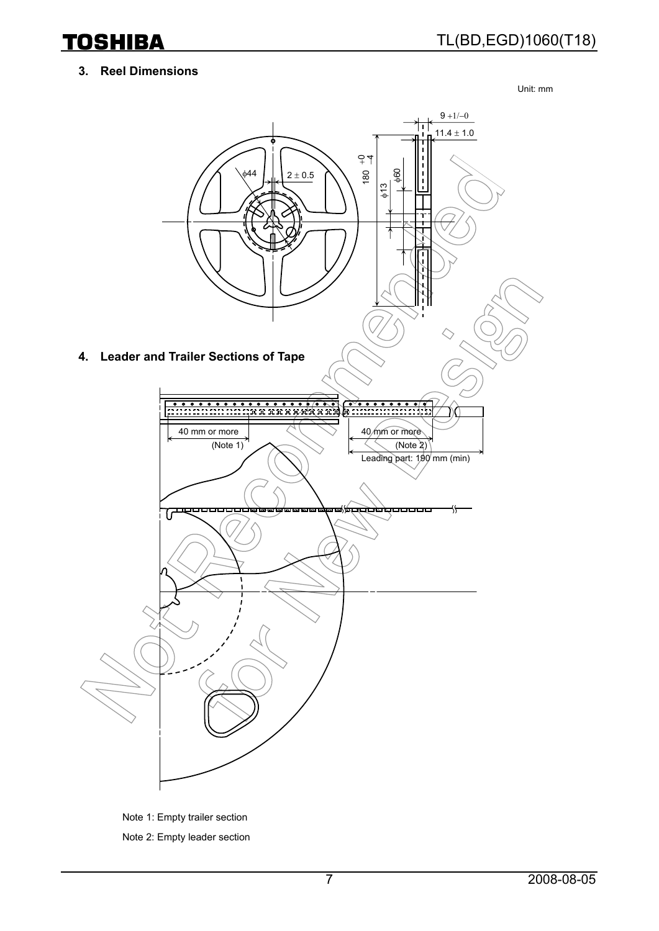#### **3. Reel Dimensions**

Unit: mm



Note 1: Empty trailer section Note 2: Empty leader section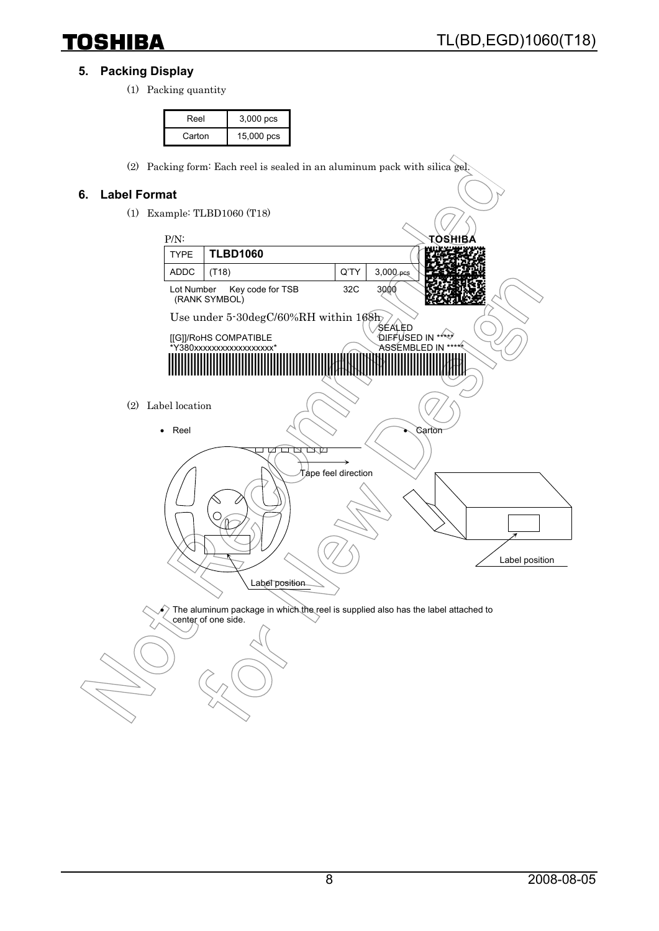#### **5. Packing Display**

(1) Packing quantity

| Reel   | $3,000$ pcs |
|--------|-------------|
| Carton | 15,000 pcs  |

(2) Packing form: Each reel is sealed in an aluminum pack with silica gel.

#### **6. Label Format**

(1) Example: TLBD1060 (T18)



 $\epsilon$ ) The aluminum package in which the reel is supplied also has the label attached to center of one side.